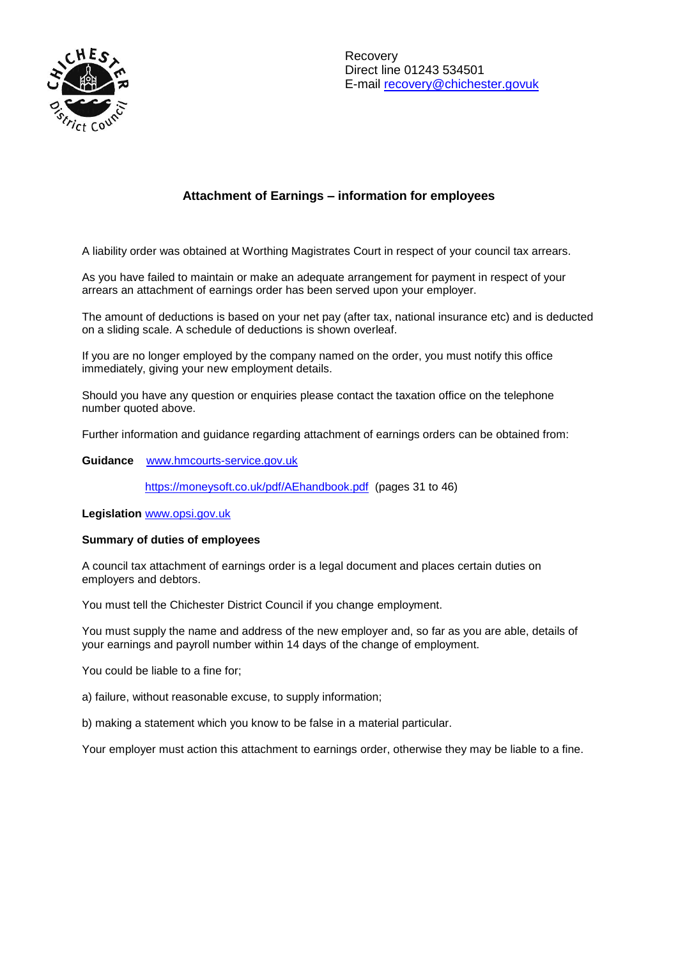

# **Attachment of Earnings – information for employees**

A liability order was obtained at Worthing Magistrates Court in respect of your council tax arrears.

As you have failed to maintain or make an adequate arrangement for payment in respect of your arrears an attachment of earnings order has been served upon your employer.

The amount of deductions is based on your net pay (after tax, national insurance etc) and is deducted on a sliding scale. A schedule of deductions is shown overleaf.

If you are no longer employed by the company named on the order, you must notify this office immediately, giving your new employment details.

Should you have any question or enquiries please contact the taxation office on the telephone number quoted above.

Further information and guidance regarding attachment of earnings orders can be obtained from:

**Guidance** [www.hmcourts-service.gov.uk](http://www.hmcourts-service.gov.uk/)

<https://moneysoft.co.uk/pdf/AEhandbook.pdf>(pages 31 to 46)

**Legislation** [www.opsi.gov.uk](http://www.opsi.gov.uk/) 

### **Summary of duties of employees**

A council tax attachment of earnings order is a legal document and places certain duties on employers and debtors.

You must tell the Chichester District Council if you change employment.

You must supply the name and address of the new employer and, so far as you are able, details of your earnings and payroll number within 14 days of the change of employment.

You could be liable to a fine for;

a) failure, without reasonable excuse, to supply information;

b) making a statement which you know to be false in a material particular.

Your employer must action this attachment to earnings order, otherwise they may be liable to a fine.